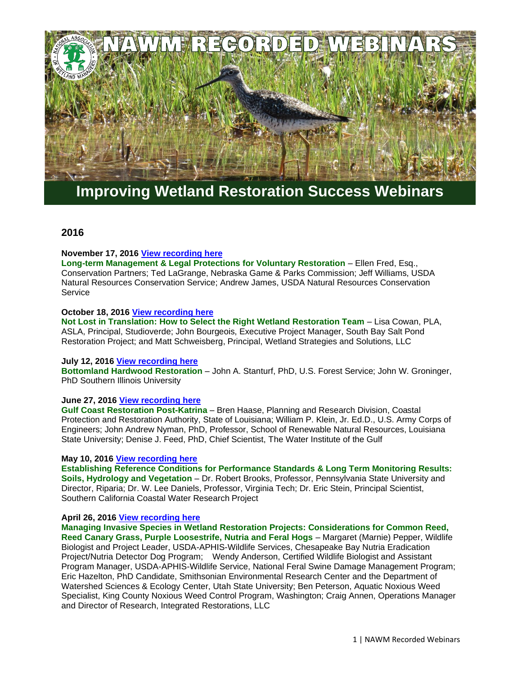

# **Improving Wetland Restoration Success Webinars**

# **2016**

# **November 17, 2016 [View recording here](https://nawm.org/nawm/9230-2016-past-webinars-improving-wetland-restoration-success-project#webinar111716)**

**Long-term Management & Legal Protections for Voluntary Restoration** – Ellen Fred, Esq., Conservation Partners; Ted LaGrange, Nebraska Game & Parks Commission; Jeff Williams, USDA Natural Resources Conservation Service; Andrew James, USDA Natural Resources Conservation **Service** 

# **October 18, 2016 [View recording here](https://nawm.org/nawm/9230-2016-past-webinars-improving-wetland-restoration-success-project#webinar101816)**

**Not Lost in Translation: How to Select the Right Wetland Restoration Team** – Lisa Cowan, PLA, ASLA, Principal, Studioverde; John Bourgeois, Executive Project Manager, South Bay Salt Pond Restoration Project; and Matt Schweisberg, Principal, Wetland Strategies and Solutions, LLC

# **July 12, 2016 [View recording here](https://nawm.org/nawm/9230-2016-past-webinars-improving-wetland-restoration-success-project#webinar071216)**

**Bottomland Hardwood Restoration** – John A. Stanturf, PhD, U.S. Forest Service; John W. Groninger, PhD Southern Illinois University

# **June 27, 2016 [View recording here](https://nawm.org/nawm/nawm-webinarscalls/9230-2016-past-webinars-improving-wetland-restoration-success-project#webinar062716)**

**Gulf Coast Restoration Post-Katrina** – Bren Haase, Planning and Research Division, Coastal Protection and Restoration Authority, State of Louisiana; William P. Klein, Jr. Ed.D., U.S. Army Corps of Engineers; John Andrew Nyman, PhD, Professor, School of Renewable Natural Resources, Louisiana State University; Denise J. Feed, PhD, Chief Scientist, The Water Institute of the Gulf

# **May 10, 2016 [View recording here](https://nawm.org/nawm/nawm-webinarscalls/9230-2016-past-webinars-improving-wetland-restoration-success-project#051016webinar)**

**Establishing Reference Conditions for Performance Standards & Long Term Monitoring Results: Soils, Hydrology and Vegetation** – Dr. Robert Brooks, Professor, Pennsylvania State University and Director, Riparia; Dr. W. Lee Daniels, Professor, Virginia Tech; Dr. Eric Stein, Principal Scientist, Southern California Coastal Water Research Project

# **April 26, 2016 [View recording here](https://nawm.org/nawm/nawm-webinarscalls/9230-2016-past-webinars-improving-wetland-restoration-success-project#042616webinar)**

**Managing Invasive Species in Wetland Restoration Projects: Considerations for Common Reed, Reed Canary Grass, Purple Loosestrife, Nutria and Feral Hogs** – Margaret (Marnie) Pepper, Wildlife Biologist and Project Leader, USDA-APHIS-Wildlife Services, Chesapeake Bay Nutria Eradication Project/Nutria Detector Dog Program; Wendy Anderson, Certified Wildlife Biologist and Assistant Program Manager, USDA-APHIS-Wildlife Service, National Feral Swine Damage Management Program; Eric Hazelton, PhD Candidate, Smithsonian Environmental Research Center and the Department of Watershed Sciences & Ecology Center, Utah State University; Ben Peterson, Aquatic Noxious Weed Specialist, King County Noxious Weed Control Program, Washington; Craig Annen, Operations Manager and Director of Research, Integrated Restorations, LLC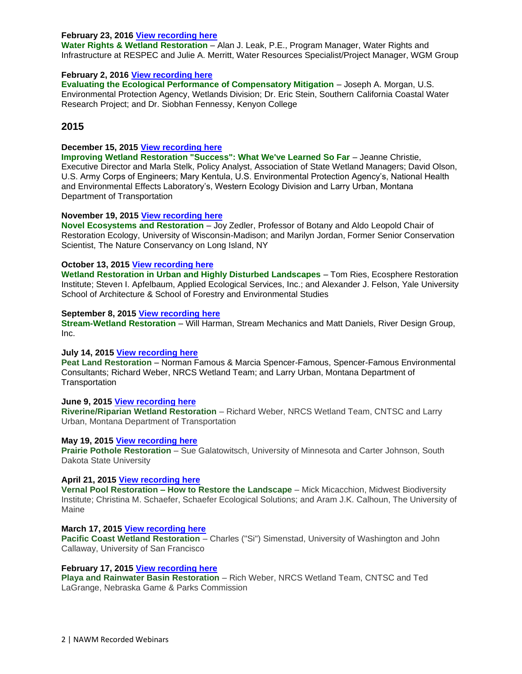# **February 23, 2016 [View recording here](https://nawm.org/nawm/nawm-webinarscalls/9230-2016-past-webinars-improving-wetland-restoration-success-project#022316webinar)**

**Water Rights & Wetland Restoration** – Alan J. Leak, P.E., Program Manager, Water Rights and Infrastructure at RESPEC and Julie A. Merritt, Water Resources Specialist/Project Manager, WGM Group

# **February 2, 201[6 View recording here](https://nawm.org/nawm/nawm-webinarscalls/9230-2016-past-webinars-improving-wetland-restoration-success-project#020216webinar)**

**Evaluating the Ecological Performance of Compensatory Mitigation** – Joseph A. Morgan, U.S. Environmental Protection Agency, Wetlands Division; Dr. Eric Stein, Southern California Coastal Water Research Project; and Dr. Siobhan Fennessy, Kenyon College

# **2015**

# **December 15, 2015 [View recording here](https://nawm.org/nawm/nawm-webinarscalls/9232-2015-past-webinars-improving-wetland-restoration-success-project-2#121515webinar)**

**Improving Wetland Restoration "Success": What We've Learned So Far** – Jeanne Christie, Executive Director and Marla Stelk, Policy Analyst, Association of State Wetland Managers; David Olson, U.S. Army Corps of Engineers; Mary Kentula, U.S. Environmental Protection Agency's, National Health and Environmental Effects Laboratory's, Western Ecology Division and Larry Urban, Montana Department of Transportation

# **November 19, 2015 [View recording here](https://nawm.org/nawm/nawm-webinarscalls/9232-2015-past-webinars-improving-wetland-restoration-success-project-2#111915webinar)**

**Novel Ecosystems and Restoration** – Joy Zedler, Professor of Botany and Aldo Leopold Chair of Restoration Ecology, University of Wisconsin-Madison; and Marilyn Jordan, Former Senior Conservation Scientist, The Nature Conservancy on Long Island, NY

# **October 13, 2015 [View recording here](https://nawm.org/nawm/nawm-webinarscalls/9232-2015-past-webinars-improving-wetland-restoration-success-project-2#101315webinar)**

**Wetland Restoration in Urban and Highly Disturbed Landscapes** – Tom Ries, Ecosphere Restoration Institute; Steven I. Apfelbaum, Applied Ecological Services, Inc.; and Alexander J. Felson, Yale University School of Architecture & School of Forestry and Environmental Studies

#### **September 8, 2015 [View recording here](https://nawm.org/nawm/nawm-webinarscalls/9232-2015-past-webinars-improving-wetland-restoration-success-project-2#webianr090815)**

**Stream-Wetland Restoration** – Will Harman, Stream Mechanics and Matt Daniels, River Design Group, Inc.

# **July 14, 2015 [View recording here](https://nawm.org/nawm/nawm-webinarscalls/9232-2015-past-webinars-improving-wetland-restoration-success-project-2#71415)**

**Peat Land Restoration** – Norman Famous & Marcia Spencer-Famous, Spencer-Famous Environmental Consultants; Richard Weber, NRCS Wetland Team; and Larry Urban, Montana Department of **Transportation** 

# **June 9, 2015 [View recording here](https://nawm.org/nawm/nawm-webinarscalls/9232-2015-past-webinars-improving-wetland-restoration-success-project-2#060915)**

**Riverine/Riparian Wetland Restoration** – Richard Weber, NRCS Wetland Team, CNTSC and Larry Urban, Montana Department of Transportation

# **May 19, 2015 [View recording here](https://nawm.org/nawm/nawm-webinarscalls/9232-2015-past-webinars-improving-wetland-restoration-success-project-2#051915)**

**Prairie Pothole Restoration** – Sue Galatowitsch, University of Minnesota and Carter Johnson, South Dakota State University

# **April 21, 2015 [View recording here](https://nawm.org/nawm/nawm-webinarscalls/9232-2015-past-webinars-improving-wetland-restoration-success-project-2#042115)**

**Vernal Pool Restoration – How to Restore the Landscape** – Mick Micacchion, Midwest Biodiversity Institute; Christina M. Schaefer, Schaefer Ecological Solutions; and Aram J.K. Calhoun, The University of Maine

# **March 17, 2015 [View recording here](https://nawm.org/nawm/nawm-webinarscalls/9232-2015-past-webinars-improving-wetland-restoration-success-project-2#031715)**

**Pacific Coast Wetland Restoration** – Charles ("Si") Simenstad, University of Washington and John Callaway, University of San Francisco

# **February 17, 2015 [View recording here](https://nawm.org/nawm/nawm-webinarscalls/9232-2015-past-webinars-improving-wetland-restoration-success-project-2#021715)**

**Playa and Rainwater Basin Restoration** – Rich Weber, NRCS Wetland Team, CNTSC and Ted LaGrange, Nebraska Game & Parks Commission